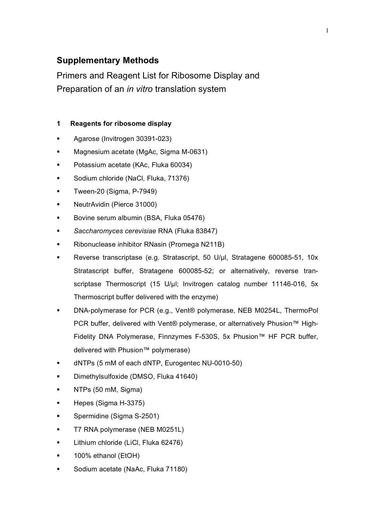# **Supplementary Methods**

Primers and Reagent List for Ribosome Display and Preparation of an *in vitro* translation system

### **1 Reagents for ribosome display**

- **Agarose (Invitrogen 30391-023)**
- Magnesium acetate (MgAc, Sigma M-0631)
- Potassium acetate (KAc, Fluka 60034)
- Sodium chloride (NaCl, Fluka, 71376)
- Tween-20 (Sigma, P-7949)
- NeutrAvidin (Pierce 31000)
- Bovine serum albumin (BSA, Fluka 05476)
- *Saccharomyces cerevisiae* RNA (Fluka 83847)
- Ribonuclease inhibitor RNasin (Promega N211B)
- Reverse transcriptase (e.g. Stratascript, 50 U/µl, Stratagene 600085-51, 10x Stratascript buffer, Stratagene 600085-52; or alternatively, reverse transcriptase Thermoscript (15 U/µl; Invitrogen catalog number 11146-016, 5x Thermoscript buffer delivered with the enzyme)
- DNA-polymerase for PCR (e.g., Vent® polymerase, NEB M0254L, ThermoPol PCR buffer, delivered with Vent® polymerase, or alternatively Phusion<sup>™</sup> High-Fidelity DNA Polymerase, Finnzymes F-530S, 5x Phusion™ HF PCR buffer, delivered with Phusion™ polymerase)
- dNTPs (5 mM of each dNTP, Eurogentec NU-0010-50)
- Dimethylsulfoxide (DMSO, Fluka 41640)
- NTPs (50 mM, Sigma)
- Hepes (Sigma H-3375)
- Spermidine (Sigma S-2501)
- T7 RNA polymerase (NEB M0251L)
- Lithium chloride (LiCl, Fluka 62476)
- 100% ethanol (EtOH)
- Sodium acetate (NaAc, Fluka 71180)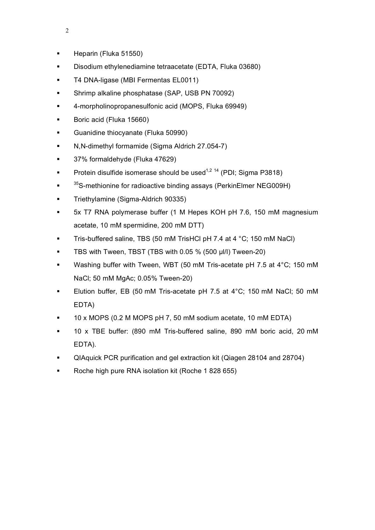- **Heparin (Fluka 51550)**
- Disodium ethylenediamine tetraacetate (EDTA, Fluka 03680)
- **T4 DNA-ligase (MBI Fermentas EL0011)**
- **Shrimp alkaline phosphatase (SAP, USB PN 70092)**
- 4-morpholinopropanesulfonic acid (MOPS, Fluka 69949)
- Boric acid (Fluka 15660)
- **Guanidine thiocyanate (Fluka 50990)**
- N,N-dimethyl formamide (Sigma Aldrich 27.054-7)
- **37% formaldehyde (Fluka 47629)**
- **Protein disulfide isomerase should be used**<sup>1,2 14</sup> (PDI; Sigma P3818)
- **•** <sup>35</sup>S-methionine for radioactive binding assays (PerkinElmer NEG009H)
- **Triethylamine (Sigma-Aldrich 90335)**
- 5x T7 RNA polymerase buffer (1 M Hepes KOH pH 7.6, 150 mM magnesium acetate, 10 mM spermidine, 200 mM DTT)
- Tris-buffered saline, TBS (50 mM TrisHCl pH 7.4 at 4 °C; 150 mM NaCl)
- TBS with Tween, TBST (TBS with 0.05 % (500 µl/l) Tween-20)
- Washing buffer with Tween, WBT (50 mM Tris-acetate pH 7.5 at 4°C; 150 mM NaCl; 50 mM MgAc; 0.05% Tween-20)
- Elution buffer, EB (50 mM Tris-acetate pH 7.5 at 4°C; 150 mM NaCl; 50 mM EDTA)
- 10 x MOPS (0.2 M MOPS pH 7, 50 mM sodium acetate, 10 mM EDTA)
- 10 x TBE buffer: (890 mM Tris-buffered saline, 890 mM boric acid, 20 mM EDTA).
- QIAquick PCR purification and gel extraction kit (Qiagen 28104 and 28704)
- Roche high pure RNA isolation kit (Roche 1 828 655)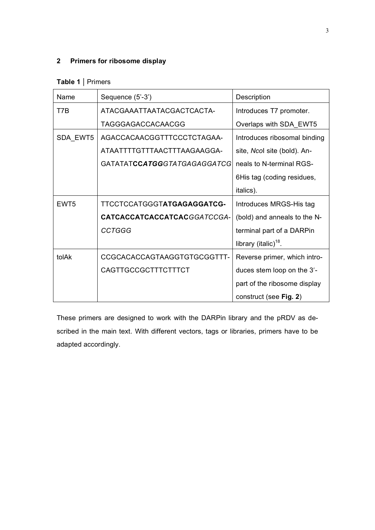## **2 Primers for ribosome display**

## **Table 1 |** Primers

| Name             | Sequence (5'-3')            | Description                  |
|------------------|-----------------------------|------------------------------|
| T7B              | ATACGAAATTAATACGACTCACTA-   | Introduces T7 promoter.      |
|                  | TAGGGAGACCACAACGG           | Overlaps with SDA_EWT5       |
| SDA_EWT5         | AGACCACAACGGTTTCCCTCTAGAA-  | Introduces ribosomal binding |
|                  | ATAATTTTGTTTAACTTTAAGAAGGA- | site, Ncol site (bold). An-  |
|                  | GATATATCCATGGGTATGAGAGGATCG | neals to N-terminal RGS-     |
|                  |                             | 6His tag (coding residues,   |
|                  |                             | italics).                    |
| EWT <sub>5</sub> | TTCCTCCATGGGTATGAGAGGATCG-  | Introduces MRGS-His tag      |
|                  | CATCACCATCACCATCACGGATCCGA- | (bold) and anneals to the N- |
|                  | <b>CCTGGG</b>               | terminal part of a DARPin    |
|                  |                             | library (italic) $18$ .      |
| tolAk            | CCGCACACCAGTAAGGTGTGCGGTTT- | Reverse primer, which intro- |
|                  | CAGTTGCCGCTTTCTTTCT         | duces stem loop on the 3'-   |
|                  |                             | part of the ribosome display |
|                  |                             | construct (see Fig. 2)       |

These primers are designed to work with the DARPin library and the pRDV as described in the main text. With different vectors, tags or libraries, primers have to be adapted accordingly.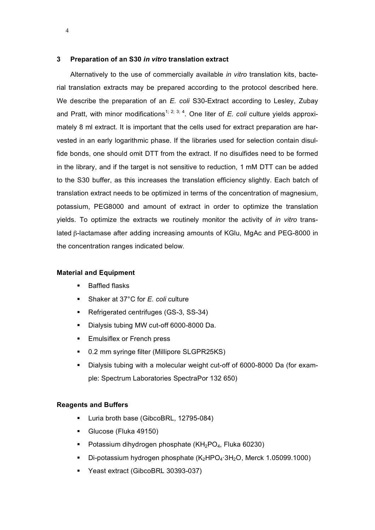#### **3 Preparation of an S30** *in vitro* **translation extract**

Alternatively to the use of commercially available *in vitro* translation kits, bacterial translation extracts may be prepared according to the protocol described here. We describe the preparation of an *E. coli* S30-Extract according to Lesley, Zubay and Pratt, with minor modifications<sup>1; 2; 3; 4</sup>. One liter of *E. coli* culture yields approximately 8 ml extract. It is important that the cells used for extract preparation are harvested in an early logarithmic phase. If the libraries used for selection contain disulfide bonds, one should omit DTT from the extract. If no disulfides need to be formed in the library, and if the target is not sensitive to reduction, 1 mM DTT can be added to the S30 buffer, as this increases the translation efficiency slightly. Each batch of translation extract needs to be optimized in terms of the concentration of magnesium, potassium, PEG8000 and amount of extract in order to optimize the translation yields. To optimize the extracts we routinely monitor the activity of *in vitro* translated β-lactamase after adding increasing amounts of KGlu, MgAc and PEG-8000 in the concentration ranges indicated below.

#### **Material and Equipment**

- **Baffled flasks**
- Shaker at 37°C for *E. coli* culture
- Refrigerated centrifuges (GS-3, SS-34)
- Dialysis tubing MW cut-off 6000-8000 Da.
- **Emulsiflex or French press**
- 0.2 mm syringe filter (Millipore SLGPR25KS)
- Dialysis tubing with a molecular weight cut-off of 6000-8000 Da (for example: Spectrum Laboratories SpectraPor 132 650)

#### **Reagents and Buffers**

- **Luria broth base (GibcoBRL, 12795-084)**
- Glucose (Fluka 49150)
- **Potassium dihydrogen phosphate (KH<sub>2</sub>PO<sub>4</sub>, Fluka 60230)**
- Di-potassium hydrogen phosphate  $(K_2HPO_4·3H_2O,$  Merck 1.05099.1000)
- Yeast extract (GibcoBRL 30393-037)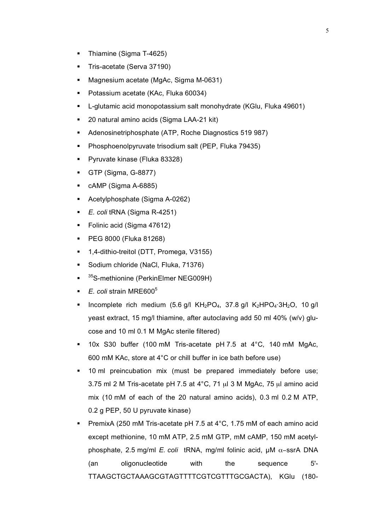- Thiamine (Sigma T-4625)
- Tris-acetate (Serva 37190)
- **Magnesium acetate (MgAc, Sigma M-0631)**
- Potassium acetate (KAc, Fluka 60034)
- **-** L-glutamic acid monopotassium salt monohydrate (KGlu, Fluka 49601)
- 20 natural amino acids (Sigma LAA-21 kit)
- Adenosinetriphosphate (ATP, Roche Diagnostics 519 987)
- **Phosphoenolpyruvate trisodium salt (PEP, Fluka 79435)**
- **Pyruvate kinase (Fluka 83328)**
- GTP (Sigma, G-8877)
- cAMP (Sigma A-6885)
- Acetylphosphate (Sigma A-0262)
- *E. coli* tRNA (Sigma R-4251)
- Folinic acid (Sigma 47612)
- PEG 8000 (Fluka 81268)
- 1,4-dithio-treitol (DTT, Promega, V3155)
- Sodium chloride (NaCl, Fluka, 71376)
- <sup>35</sup>S-methionine (PerkinElmer NEG009H)
- *E. coli* strain MRE6005
- Incomplete rich medium (5.6 g/l  $KH_2PO_4$ , 37.8 g/l  $K_2HPO_4·3H_2O$ , 10 g/l yeast extract, 15 mg/l thiamine, after autoclaving add 50 ml 40% (w/v) glucose and 10 ml 0.1 M MgAc sterile filtered)
- 10x S30 buffer (100 mM Tris-acetate pH 7.5 at 4°C, 140 mM MgAc, 600 mM KAc, store at 4°C or chill buffer in ice bath before use)
- 10 ml preincubation mix (must be prepared immediately before use; 3.75 ml 2 M Tris-acetate pH 7.5 at 4°C, 71 µl 3 M MgAc, 75 µl amino acid mix (10 mM of each of the 20 natural amino acids), 0.3 ml 0.2 M ATP, 0.2 g PEP, 50 U pyruvate kinase)
- PremixA (250 mM Tris-acetate pH 7.5 at  $4^{\circ}$ C, 1.75 mM of each amino acid except methionine, 10 mM ATP, 2.5 mM GTP, mM cAMP, 150 mM acetylphosphate, 2.5 mg/ml *E. coli* tRNA, mg/ml folinic acid, µM α−ssrA DNA (an oligonucleotide with the sequence 5'- TTAAGCTGCTAAAGCGTAGTTTTCGTCGTTTGCGACTA), KGlu (180-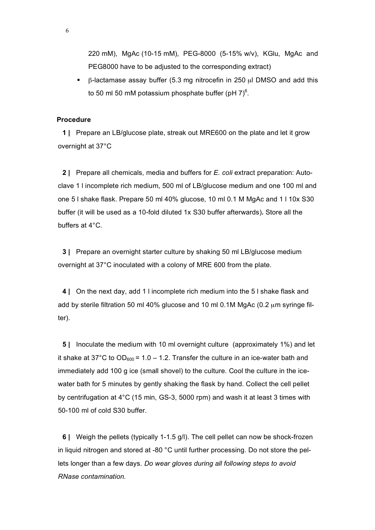220 mM), MgAc (10-15 mM), PEG-8000 (5-15% w/v), KGlu, MgAc and PEG8000 have to be adjusted to the corresponding extract)

 $\overline{B}$ -lactamase assay buffer (5.3 mg nitrocefin in 250  $\mu$ l DMSO and add this to 50 ml 50 mM potassium phosphate buffer (pH 7) $^6$ .

#### **Procedure**

**1 |** Prepare an LB/glucose plate, streak out MRE600 on the plate and let it grow overnight at 37°C

**2 |** Prepare all chemicals, media and buffers for *E. coli* extract preparation: Autoclave 1 l incomplete rich medium, 500 ml of LB/glucose medium and one 100 ml and one 5 l shake flask. Prepare 50 ml 40% glucose, 10 ml 0.1 M MgAc and 1 l 10x S30 buffer (it will be used as a 10-fold diluted 1x S30 buffer afterwards)**.** Store all the buffers at 4°C.

**3 |** Prepare an overnight starter culture by shaking 50 ml LB/glucose medium overnight at 37°C inoculated with a colony of MRE 600 from the plate.

**4 |** On the next day, add 1 l incomplete rich medium into the 5 l shake flask and add by sterile filtration 50 ml 40% glucose and 10 ml 0.1M MgAc (0.2  $\mu$ m syringe filter).

**5 |** Inoculate the medium with 10 ml overnight culture (approximately 1%) and let it shake at 37°C to  $OD_{600} = 1.0 - 1.2$ . Transfer the culture in an ice-water bath and immediately add 100 g ice (small shovel) to the culture. Cool the culture in the icewater bath for 5 minutes by gently shaking the flask by hand. Collect the cell pellet by centrifugation at 4°C (15 min, GS-3, 5000 rpm) and wash it at least 3 times with 50-100 ml of cold S30 buffer.

**6 |** Weigh the pellets (typically 1-1.5 g/l). The cell pellet can now be shock-frozen in liquid nitrogen and stored at -80 °C until further processing. Do not store the pellets longer than a few days. *Do wear gloves during all following steps to avoid RNase contamination.*

6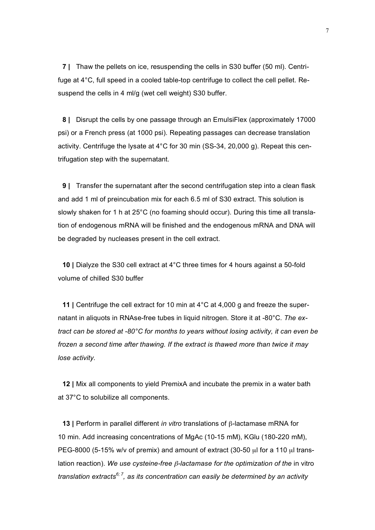**7 |** Thaw the pellets on ice, resuspending the cells in S30 buffer (50 ml). Centrifuge at 4°C, full speed in a cooled table-top centrifuge to collect the cell pellet. Resuspend the cells in 4 ml/g (wet cell weight) S30 buffer.

**8 |** Disrupt the cells by one passage through an EmulsiFlex (approximately 17000 psi) or a French press (at 1000 psi). Repeating passages can decrease translation activity. Centrifuge the lysate at 4°C for 30 min (SS-34, 20,000 g). Repeat this centrifugation step with the supernatant.

**9 |** Transfer the supernatant after the second centrifugation step into a clean flask and add 1 ml of preincubation mix for each 6.5 ml of S30 extract. This solution is slowly shaken for 1 h at 25°C (no foaming should occur). During this time all translation of endogenous mRNA will be finished and the endogenous mRNA and DNA will be degraded by nucleases present in the cell extract.

**10 |** Dialyze the S30 cell extract at 4°C three times for 4 hours against a 50-fold volume of chilled S30 buffer

**11 |** Centrifuge the cell extract for 10 min at 4°C at 4,000 g and freeze the supernatant in aliquots in RNAse-free tubes in liquid nitrogen. Store it at -80°C. *The extract can be stored at -80°C for months to years without losing activity, it can even be frozen a second time after thawing. If the extract is thawed more than twice it may lose activity.*

**12 |** Mix all components to yield PremixA and incubate the premix in a water bath at 37°C to solubilize all components.

**13 |** Perform in parallel different *in vitro* translations of β-lactamase mRNA for 10 min. Add increasing concentrations of MgAc (10-15 mM), KGlu (180-220 mM), PEG-8000 (5-15% w/v of premix) and amount of extract (30-50  $\mu$ l for a 110  $\mu$ l translation reaction). *We use cysteine-free* β*-lactamase for the optimization of the* in vitro *translation extracts6; <sup>7</sup> , as its concentration can easily be determined by an activity*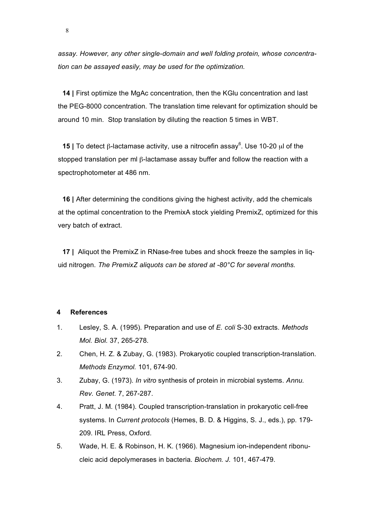*assay. However, any other single-domain and well folding protein, whose concentration can be assayed easily, may be used for the optimization.*

**14 |** First optimize the MgAc concentration, then the KGlu concentration and last the PEG-8000 concentration. The translation time relevant for optimization should be around 10 min. Stop translation by diluting the reaction 5 times in WBT.

**15** | To detect β-lactamase activity, use a nitrocefin assay<sup>6</sup>. Use 10-20 μl of the stopped translation per ml β-lactamase assay buffer and follow the reaction with a spectrophotometer at 486 nm.

**16 |** After determining the conditions giving the highest activity, add the chemicals at the optimal concentration to the PremixA stock yielding PremixZ, optimized for this very batch of extract.

**17 |** Aliquot the PremixZ in RNase-free tubes and shock freeze the samples in liquid nitrogen. *The PremixZ aliquots can be stored at -80°C for several months.*

#### **4 References**

- 1. Lesley, S. A. (1995). Preparation and use of *E. coli* S-30 extracts. *Methods Mol. Biol.* 37, 265-278.
- 2. Chen, H. Z. & Zubay, G. (1983). Prokaryotic coupled transcription-translation. *Methods Enzymol.* 101, 674-90.
- 3. Zubay, G. (1973). *In vitro* synthesis of protein in microbial systems. *Annu. Rev. Genet.* 7, 267-287.
- 4. Pratt, J. M. (1984). Coupled transcription-translation in prokaryotic cell-free systems. In *Current protocols* (Hemes, B. D. & Higgins, S. J., eds.), pp. 179- 209. IRL Press, Oxford.
- 5. Wade, H. E. & Robinson, H. K. (1966). Magnesium ion-independent ribonucleic acid depolymerases in bacteria. *Biochem. J.* 101, 467-479.